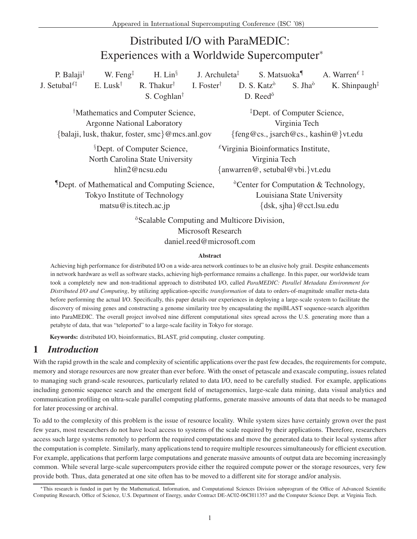# Distributed I/O with ParaMEDIC: Experiences with a Worldwide Supercomputer<sup>∗</sup>

P. Balaji<sup>†</sup> W. Feng<sup>‡</sup> H. Lin<sup>§</sup> J. Archuleta‡ S. Matsuoka¶ A. Warren*£* ‡ J. Setubal<sup> $£$ </sup> E. Lusk<sup>†</sup> R. Thakur<sup>†</sup> I. Foster<sup>†</sup> D. S. Katz<sup> $\delta$ </sup> S. Jha<sup> $\delta$ </sup> K. Shinpaugh<sup>‡</sup> S. Coghlan<sup>†</sup> D. Reed<sup> $\delta$ </sup> †Mathematics and Computer Science, Argonne National Laboratory {balaji, lusk, thakur, foster, smc}@mcs.anl.gov ‡Dept. of Computer Science, Virginia Tech {feng@cs., jsarch@cs., kashin@}vt.edu §Dept. of Computer Science, North Carolina State University hlin2@ncsu.edu *£*Virginia Bioinformatics Institute, Virginia Tech {anwarren@, setubal@vbi.}vt.edu ¶Dept. of Mathematical and Computing Science, Tokyo Institute of Technology matsu@is.titech.ac.jp  $\delta$ Center for Computation & Technology, Louisiana State University {dsk, sjha}@cct.lsu.edu  $\delta$ Scalable Computing and Multicore Division,

Microsoft Research daniel.reed@microsoft.com

#### **Abstract**

Achieving high performance for distributed I/O on a wide-area network continues to be an elusive holy grail. Despite enhancements in network hardware as well as software stacks, achieving high-performance remains a challenge. In this paper, our worldwide team took a completely new and non-traditional approach to distributed I/O, called *ParaMEDIC: Parallel Metadata Environment for Distributed I/O and Computing*, by utilizing application-specific *transformation* of data to orders-of-magnitude smaller meta-data before performing the actual I/O. Specifically, this paper details our experiences in deploying a large-scale system to facilitate the discovery of missing genes and constructing a genome similarity tree by encapsulating the mpiBLAST sequence-search algorithm into ParaMEDIC. The overall project involved nine different computational sites spread across the U.S. generating more than a petabyte of data, that was "teleported" to a large-scale facility in Tokyo for storage.

**Keywords:** distributed I/O, bioinformatics, BLAST, grid computing, cluster computing.

### **1** *Introduction*

With the rapid growth in the scale and complexity of scientific applications over the past few decades, the requirements for compute, memory and storage resources are now greater than ever before. With the onset of petascale and exascale computing, issues related to managing such grand-scale resources, particularly related to data I/O, need to be carefully studied. For example, applications including genomic sequence search and the emergent field of metagenomics, large-scale data mining, data visual analytics and communication profiling on ultra-scale parallel computing platforms, generate massive amounts of data that needs to be managed for later processing or archival.

To add to the complexity of this problem is the issue of resource locality. While system sizes have certainly grown over the past few years, most researchers do not have local access to systems of the scale required by their applications. Therefore, researchers access such large systems remotely to perform the required computations and move the generated data to their local systems after the computation is complete. Similarly, many applications tend to require multiple resources simultaneously for efficient execution. For example, applications that perform large computations and generate massive amounts of output data are becoming increasingly common. While several large-scale supercomputers provide either the required compute power or the storage resources, very few provide both. Thus, data generated at one site often has to be moved to a different site for storage and/or analysis.

<sup>∗</sup>This research is funded in part by the Mathematical, Information, and Computational Sciences Division subprogram of the Office of Advanced Scientific Computing Research, Office of Science, U.S. Department of Energy, under Contract DE-AC02-06CH11357 and the Computer Science Dept. at Virginia Tech.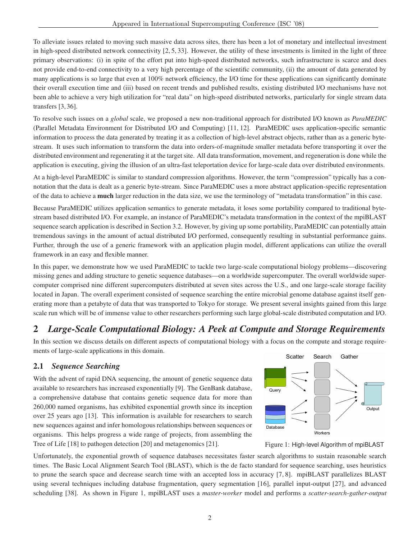To alleviate issues related to moving such massive data across sites, there has been a lot of monetary and intellectual investment in high-speed distributed network connectivity [2, 5, 33]. However, the utility of these investments is limited in the light of three primary observations: (i) in spite of the effort put into high-speed distributed networks, such infrastructure is scarce and does not provide end-to-end connectivity to a very high percentage of the scientific community, (ii) the amount of data generated by many applications is so large that even at 100% network efficiency, the I/O time for these applications can significantly dominate their overall execution time and (iii) based on recent trends and published results, existing distributed I/O mechanisms have not been able to achieve a very high utilization for "real data" on high-speed distributed networks, particularly for single stream data transfers [3, 36].

To resolve such issues on a *global* scale, we proposed a new non-traditional approach for distributed I/O known as *ParaMEDIC* (Parallel Metadata Environment for Distributed I/O and Computing) [11, 12]. ParaMEDIC uses application-specific semantic information to process the data generated by treating it as a collection of high-level abstract objects, rather than as a generic bytestream. It uses such information to transform the data into orders-of-magnitude smaller metadata before transporting it over the distributed environment and regenerating it at the target site. All data transformation, movement, and regeneration is done while the application is executing, giving the illusion of an ultra-fast teleportation device for large-scale data over distributed environments.

At a high-level ParaMEDIC is similar to standard compression algorithms. However, the term "compression" typically has a connotation that the data is dealt as a generic byte-stream. Since ParaMEDIC uses a more abstract application-specific representation of the data to achieve a **much** larger reduction in the data size, we use the terminology of "metadata transformation" in this case.

Because ParaMEDIC utilizes application semantics to generate metadata, it loses some portability compared to traditional bytestream based distributed I/O. For example, an instance of ParaMEDIC's metadata transformation in the context of the mpiBLAST sequence search application is described in Section 3.2. However, by giving up some portability, ParaMEDIC can potentially attain tremendous savings in the amount of actual distributed I/O performed, consequently resulting in substantial performance gains. Further, through the use of a generic framework with an application plugin model, different applications can utilize the overall framework in an easy and flexible manner.

In this paper, we demonstrate how we used ParaMEDIC to tackle two large-scale computational biology problems—discovering missing genes and adding structure to genetic sequence databases—on a worldwide supercomputer. The overall worldwide supercomputer comprised nine different supercomputers distributed at seven sites across the U.S., and one large-scale storage facility located in Japan. The overall experiment consisted of sequence searching the entire microbial genome database against itself generating more than a petabyte of data that was transported to Tokyo for storage. We present several insights gained from this large scale run which will be of immense value to other researchers performing such large global-scale distributed computation and I/O.

## **2** *Large-Scale Computational Biology: A Peek at Compute and Storage Requirements*

In this section we discuss details on different aspects of computational biology with a focus on the compute and storage requirements of large-scale applications in this domain.

#### **2.1** *Sequence Searching*

With the advent of rapid DNA sequencing, the amount of genetic sequence data available to researchers has increased exponentially [9]. The GenBank database, a comprehensive database that contains genetic sequence data for more than 260,000 named organisms, has exhibited exponential growth since its inception over 25 years ago [13]. This information is available for researchers to search new sequences against and infer homologous relationships between sequences or organisms. This helps progress a wide range of projects, from assembling the Tree of Life [18] to pathogen detection [20] and metagenomics [21].





Unfortunately, the exponential growth of sequence databases necessitates faster search algorithms to sustain reasonable search times. The Basic Local Alignment Search Tool (BLAST), which is the de facto standard for sequence searching, uses heuristics to prune the search space and decrease search time with an accepted loss in accuracy [7, 8]. mpiBLAST parallelizes BLAST using several techniques including database fragmentation, query segmentation [16], parallel input-output [27], and advanced scheduling [38]. As shown in Figure 1, mpiBLAST uses a *master-worker* model and performs a *scatter-search-gather-output*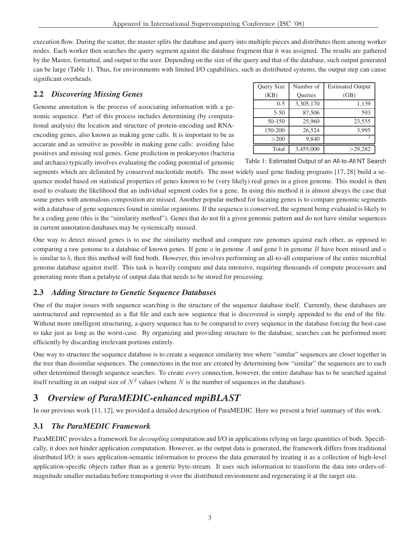execution flow. During the scatter, the master splits the database and query into multiple pieces and distributes them among worker nodes. Each worker then searches the query segment against the database fragment that it was assigned. The results are gathered by the Master, formatted, and output to the user. Depending on the size of the query and that of the database, such output generated can be large (Table 1). Thus, for environments with limited I/O capabilities, such as distributed systems, the output step can cause significant overheads.

#### **2.2** *Discovering Missing Genes*

Genome annotation is the process of associating information with a genomic sequence. Part of this process includes determining (by computational analysis) the location and structure of protein-encoding and RNAencoding genes, also known as making gene calls. It is important to be as accurate and as sensitive as possible in making gene calls: avoiding false positives and missing real genes. Gene prediction in prokaryotes (bacteria and archaea) typically involves evaluating the coding potential of genomic

| Query Size | Number of | <b>Estimated Output</b> |  |  |
|------------|-----------|-------------------------|--|--|
| (KB)       | Queries   | (GB)                    |  |  |
| $0 - 5$    | 3,305,170 | 1,139                   |  |  |
| $5 - 50$   | 87,506    | 593                     |  |  |
| 50-150     | 25,960    | 23,555                  |  |  |
| 150-200    | 26,524    | 3,995                   |  |  |
| >200       | 9,840     |                         |  |  |
| Total      | 3,455,000 | >29,282                 |  |  |

Table 1: Estimated Output of an All-to-All NT Search

segments which are delimited by conserved nucleotide motifs. The most widely used gene finding programs [17, 28] build a sequence model based on statistical properties of genes known to be (very likely) real genes in a given genome. This model is then used to evaluate the likelihood that an individual segment codes for a gene. In using this method it is almost always the case that some genes with anomalous composition are missed. Another popular method for locating genes is to compare genomic segments with a database of gene sequences found in similar organisms. If the sequence is conserved, the segment being evaluated is likely to be a coding gene (this is the "similarity method"). Genes that do not fit a given genomic pattern and do not have similar sequences in current annotation databases may be systemically missed.

One way to detect missed genes is to use the similarity method and compare raw genomes against each other, as opposed to comparing a raw genome to a database of known genes. If gene a in genome A and gene b in genome B have been missed and  $a$ is similar to b, then this method will find both. However, this involves performing an all-to-all comparison of the entire microbial genome database against itself. This task is heavily compute and data intensive, requiring thousands of compute processors and generating more than a petabyte of output data that needs to be stored for processing.

#### **2.3** *Adding Structure to Genetic Sequence Databases*

One of the major issues with sequence searching is the structure of the sequence database itself. Currently, these databases are unstructured and represented as a flat file and each new sequence that is discovered is simply appended to the end of the file. Without more intelligent structuring, a query sequence has to be compared to every sequence in the database forcing the best-case to take just as long as the worst-case. By organizing and providing structure to the database, searches can be performed more efficiently by discarding irrelevant portions entirely.

One way to structure the sequence database is to create a sequence similarity tree where "similar" sequences are closer together in the tree than dissimilar sequences. The connections in the tree are created by determining how "similar" the sequences are to each other determined through sequence searches. To create *every* connection, however, the entire database has to be searched against itself resulting in an output size of  $N^2$  values (where N is the number of sequences in the database).

## **3** *Overview of ParaMEDIC-enhanced mpiBLAST*

In our previous work [11, 12], we provided a detailed description of ParaMEDIC. Here we present a brief summary of this work.

#### **3.1** *The ParaMEDIC Framework*

ParaMEDIC provides a framework for *decoupling* computation and I/O in applications relying on large quantities of both. Specifically, it does not hinder application computation. However, as the output data is generated, the framework differs from traditional distributed I/O; it uses application-semantic information to process the data generated by treating it as a collection of high-level application-specific objects rather than as a generic byte-stream. It uses such information to transform the data into orders-ofmagnitude smaller metadata before transporting it over the distributed environment and regenerating it at the target site.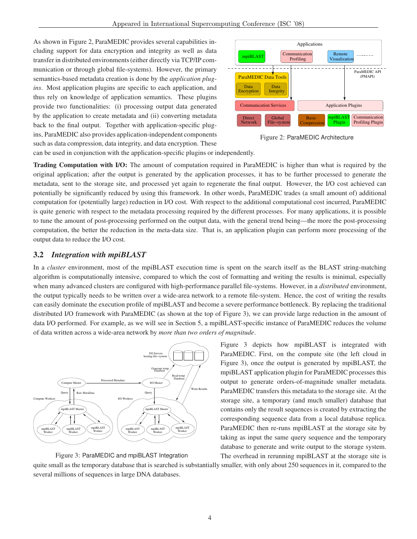As shown in Figure 2, ParaMEDIC provides several capabilities including support for data encryption and integrity as well as data transfer in distributed environments (either directly via TCP/IP communication or through global file-systems). However, the primary semantics-based metadata creation is done by the *application plugins*. Most application plugins are specific to each application, and thus rely on knowledge of application semantics. These plugins provide two functionalities: (i) processing output data generated by the application to create metadata and (ii) converting metadata back to the final output. Together with application-specific plugins, ParaMEDIC also provides application-independent components such as data compression, data integrity, and data encryption. These



Figure 2: ParaMEDIC Architecture

can be used in conjunction with the application-specific plugins or independently.

**Trading Computation with I/O:** The amount of computation required in ParaMEDIC is higher than what is required by the original application; after the output is generated by the application processes, it has to be further processed to generate the metadata, sent to the storage site, and processed yet again to regenerate the final output. However, the I/O cost achieved can potentially be significantly reduced by using this framework. In other words, ParaMEDIC trades (a small amount of) additional computation for (potentially large) reduction in I/O cost. With respect to the additional computational cost incurred, ParaMEDIC is quite generic with respect to the metadata processing required by the different processes. For many applications, it is possible to tune the amount of post-processing performed on the output data, with the general trend being—the more the post-processing computation, the better the reduction in the meta-data size. That is, an application plugin can perform more processing of the output data to reduce the I/O cost.

#### **3.2** *Integration with mpiBLAST*

In a *cluster* environment, most of the mpiBLAST execution time is spent on the search itself as the BLAST string-matching algorithm is computationally intensive, compared to which the cost of formatting and writing the results is minimal, especially when many advanced clusters are configured with high-performance parallel file-systems. However, in a *distributed* environment, the output typically needs to be written over a wide-area network to a remote file-system. Hence, the cost of writing the results can easily dominate the execution profile of mpiBLAST and become a severe performance bottleneck. By replacing the traditional distributed I/O framework with ParaMEDIC (as shown at the top of Figure 3), we can provide large reduction in the amount of data I/O performed. For example, as we will see in Section 5, a mpiBLAST-specific instance of ParaMEDIC reduces the volume of data written across a wide-area network by *more than two orders of magnitude*.





Figure 3 depicts how mpiBLAST is integrated with ParaMEDIC. First, on the compute site (the left cloud in Figure 3), once the output is generated by mpiBLAST, the mpiBLAST application plugin for ParaMEDIC processes this output to generate orders-of-magnitude smaller metadata. ParaMEDIC transfers this metadata to the storage site. At the storage site, a temporary (and much smaller) database that contains only the result sequences is created by extracting the corresponding sequence data from a local database replica. ParaMEDIC then re-runs mpiBLAST at the storage site by taking as input the same query sequence and the temporary database to generate and write output to the storage system. The overhead in rerunning mpiBLAST at the storage site is

quite small as the temporary database that is searched is substantially smaller, with only about 250 sequences in it, compared to the several millions of sequences in large DNA databases.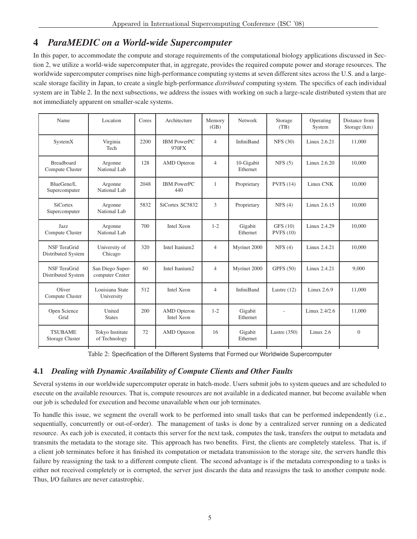### **4** *ParaMEDIC on a World-wide Supercomputer*

In this paper, to accommodate the compute and storage requirements of the computational biology applications discussed in Section 2, we utilize a world-wide supercomputer that, in aggregate, provides the required compute power and storage resources. The worldwide supercomputer comprises nine high-performance computing systems at seven different sites across the U.S. and a largescale storage facility in Japan, to create a single high-performance *distributed* computing system. The specifics of each individual system are in Table 2. In the next subsections, we address the issues with working on such a large-scale distributed system that are not immediately apparent on smaller-scale systems.

| Name                                      | Location                            | Cores | Architecture                     | Memory<br>(GB) | Network                | Storage<br>(TB)      | Operating<br>System | Distance from<br>Storage (km) |
|-------------------------------------------|-------------------------------------|-------|----------------------------------|----------------|------------------------|----------------------|---------------------|-------------------------------|
| SystemX                                   | Virginia<br>Tech                    | 2200  | <b>IBM PowerPC</b><br>970FX      | $\overline{4}$ | <b>InfiniBand</b>      | <b>NFS (30)</b>      | Linux 2.6.21        | 11,000                        |
| <b>Breadboard</b><br>Compute Cluster      | Argonne<br>National Lab             | 128   | <b>AMD</b> Opteron               | $\overline{4}$ | 10-Gigabit<br>Ethernet | NFS(5)               | Linux 2.6.20        | 10,000                        |
| BlueGene/L<br>Supercomputer               | Argonne<br>National Lab             | 2048  | <b>IBM PowerPC</b><br>440        | $\mathbf{1}$   | Proprietary            | <b>PVFS</b> (14)     | Linux CNK           | 10,000                        |
| <b>SiCortex</b><br>Supercomputer          | Argonne<br>National Lab             | 5832  | SiCortex SC5832                  | 3              | Proprietary            | NFS(4)               | Linux 2.6.15        | 10,000                        |
| Jazz<br>Compute Cluster                   | Argonne<br>National Lab             | 700   | Intel Xeon                       | $1 - 2$        | Gigabit<br>Ethernet    | GFS (10)<br>PVFS(10) | Linux 2.4.29        | 10,000                        |
| <b>NSF</b> TeraGrid<br>Distributed System | University of<br>Chicago            | 320   | Intel Itanium2                   | $\overline{4}$ | Myrinet 2000           | NFS(4)               | Linux 2.4.21        | 10,000                        |
| NSF TeraGrid<br>Distributed System        | San Diego Super-<br>computer Center | 60    | Intel Itanium2                   | $\overline{4}$ | Myrinet 2000           | <b>GPFS</b> (50)     | Linux 2.4.21        | 9,000                         |
| Oliver<br>Compute Cluster                 | Louisiana State<br>University       | 512   | Intel Xeon                       | $\overline{4}$ | <b>InfiniBand</b>      | Lustre $(12)$        | Linux 2.6.9         | 11,000                        |
| Open Science<br>Grid                      | United<br><b>States</b>             | 200   | <b>AMD</b> Opteron<br>Intel Xeon | $1 - 2$        | Gigabit<br>Ethernet    |                      | Linux 2.4/2.6       | 11,000                        |
| <b>TSUBAME</b><br>Storage Cluster         | Tokyo Institute<br>of Technology    | 72    | <b>AMD</b> Opteron               | 16             | Gigabit<br>Ethernet    | Lustre $(350)$       | Linux $2.6$         | $\Omega$                      |

Table 2: Specification of the Different Systems that Formed our Worldwide Supercomputer

### **4.1** *Dealing with Dynamic Availability of Compute Clients and Other Faults*

Several systems in our worldwide supercomputer operate in batch-mode. Users submit jobs to system queues and are scheduled to execute on the available resources. That is, compute resources are not available in a dedicated manner, but become available when our job is scheduled for execution and become unavailable when our job terminates.

To handle this issue, we segment the overall work to be performed into small tasks that can be performed independently (i.e., sequentially, concurrently or out-of-order). The management of tasks is done by a centralized server running on a dedicated resource. As each job is executed, it contacts this server for the next task, computes the task, transfers the output to metadata and transmits the metadata to the storage site. This approach has two benefits. First, the clients are completely stateless. That is, if a client job terminates before it has finished its computation or metadata transmission to the storage site, the servers handle this failure by reassigning the task to a different compute client. The second advantage is if the metadata corresponding to a tasks is either not received completely or is corrupted, the server just discards the data and reassigns the task to another compute node. Thus, I/O failures are never catastrophic.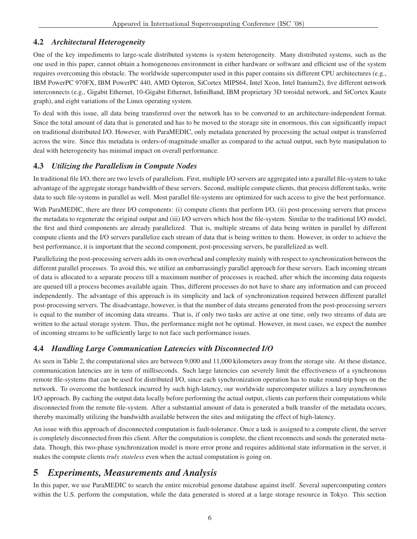#### **4.2** *Architectural Heterogeneity*

One of the key impediments to large-scale distributed systems is system heterogeneity. Many distributed systems, such as the one used in this paper, cannot obtain a homogeneous environment in either hardware or software and efficient use of the system requires overcoming this obstacle. The worldwide supercomputer used in this paper contains six different CPU architectures (e.g., IBM PowerPC 970FX, IBM PowerPC 440, AMD Opteron, SiCortex MIPS64, Intel Xeon, Intel Itanium2), five different network interconnects (e.g., Gigabit Ethernet, 10-Gigabit Ethernet, InfiniBand, IBM proprietary 3D toroidal network, and SiCortex Kautz graph), and eight variations of the Linux operating system.

To deal with this issue, all data being transferred over the network has to be converted to an architecture-independent format. Since the total amount of data that is generated and has to be moved to the storage site in enormous, this can significantly impact on traditional distributed I/O. However, with ParaMEDIC, only metadata generated by processing the actual output is transferred across the wire. Since this metadata is orders-of-magnitude smaller as compared to the actual output, such byte manipulation to deal with heterogeneity has minimal impact on overall performance.

#### **4.3** *Utilizing the Parallelism in Compute Nodes*

In traditional file I/O, there are two levels of parallelism. First, multiple I/O servers are aggregated into a parallel file-system to take advantage of the aggregate storage bandwidth of these servers. Second, multiple compute clients, that process different tasks, write data to such file-systems in parallel as well. Most parallel file-systems are optimized for such access to give the best performance.

With ParaMEDIC, there are three I/O components: (i) compute clients that perform I/O, (ii) post-processing servers that process the metadata to regenerate the original output and (iii) I/O servers which host the file-system. Similar to the traditional I/O model, the first and third components are already parallelized. That is, multiple streams of data being written in parallel by different compute clients and the I/O servers parallelize each stream of data that is being written to them. However, in order to achieve the best performance, it is important that the second component, post-processing servers, be parallelized as well.

Parallelizing the post-processing servers adds its own overhead and complexity mainly with respect to synchronization between the different parallel processes. To avoid this, we utilize an embarrassingly parallel approach for these servers. Each incoming stream of data is allocated to a separate process till a maximum number of processes is reached, after which the incoming data requests are queued till a process becomes available again. Thus, different processes do not have to share any information and can proceed independently. The advantage of this approach is its simplicity and lack of synchronization required between different parallel post-processing servers. The disadvantage, however, is that the number of data streams generated from the post-processing servers is equal to the number of incoming data streams. That is, if only two tasks are active at one time, only two streams of data are written to the actual storage system. Thus, the performance might not be optimal. However, in most cases, we expect the number of incoming streams to be sufficiently large to not face such performance issues.

#### **4.4** *Handling Large Communication Latencies with Disconnected I/O*

As seen in Table 2, the computational sites are between 9,000 and 11,000 kilometers away from the storage site. At these distance, communication latencies are in tens of milliseconds. Such large latencies can severely limit the effectiveness of a synchronous remote file-systems that can be used for distributed I/O, since each synchronization operation has to make round-trip hops on the network. To overcome the bottleneck incurred by such high-latency, our worldwide supercomputer utilizes a lazy asynchronous I/O approach. By caching the output data locally before performing the actual output, clients can perform their computations while disconnected from the remote file-system. After a substantial amount of data is generated a bulk transfer of the metadata occurs, thereby maximally utilizing the bandwidth available between the sites and mitigating the effect of high-latency.

An issue with this approach of disconnected computation is fault-tolerance. Once a task is assigned to a compute client, the server is completely disconnected from this client. After the computation is complete, the client reconnects and sends the generated metadata. Though, this two-phase synchronization model is more error prone and requires additional state information in the server, it makes the compute clients *truly stateless* even when the actual computation is going on.

### **5** *Experiments, Measurements and Analysis*

In this paper, we use ParaMEDIC to search the entire microbial genome database against itself. Several supercomputing centers within the U.S. perform the computation, while the data generated is stored at a large storage resource in Tokyo. This section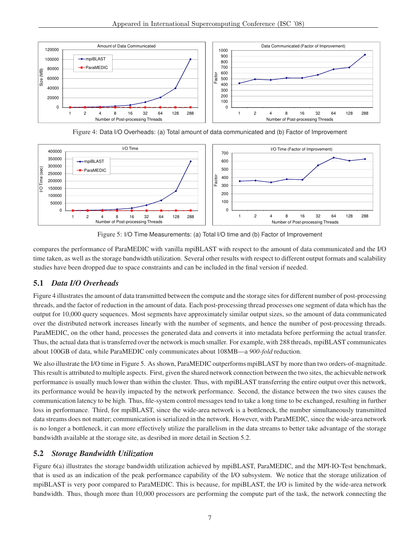

Figure 4: Data I/O Overheads: (a) Total amount of data communicated and (b) Factor of Improvement





compares the performance of ParaMEDIC with vanilla mpiBLAST with respect to the amount of data communicated and the I/O time taken, as well as the storage bandwidth utilization. Several other results with respect to different output formats and scalability studies have been dropped due to space constraints and can be included in the final version if needed.

### **5.1** *Data I/O Overheads*

Figure 4 illustrates the amount of data transmitted between the compute and the storage sites for different number of post-processing threads, and the factor of reduction in the amount of data. Each post-processing thread processes one segment of data which has the output for 10,000 query sequences. Most segments have approximately similar output sizes, so the amount of data communicated over the distributed network increases linearly with the number of segments, and hence the number of post-processing threads. ParaMEDIC, on the other hand, processes the generated data and converts it into metadata before performing the actual transfer. Thus, the actual data that is transferred over the network is much smaller. For example, with 288 threads, mpiBLAST communicates about 100GB of data, while ParaMEDIC only communicates about 108MB—a *900-fold* reduction.

We also illustrate the I/O time in Figure 5. As shown, ParaMEDIC outperforms mpiBLAST by more than two orders-of-magnitude. This result is attributed to multiple aspects. First, given the shared network connection between the two sites, the achievable network performance is usually much lower than within the cluster. Thus, with mpiBLAST transferring the entire output over this network, its performance would be heavily impacted by the network performance. Second, the distance between the two sites causes the communication latency to be high. Thus, file-system control messages tend to take a long time to be exchanged, resulting in further loss in performance. Third, for mpiBLAST, since the wide-area network is a bottleneck, the number simultaneously transmitted data streams does not matter; communication is serialized in the network. However, with ParaMEDIC, since the wide-area network is no longer a bottleneck, it can more effectively utilize the parallelism in the data streams to better take advantage of the storage bandwidth available at the storage site, as desribed in more detail in Section 5.2.

#### **5.2** *Storage Bandwidth Utilization*

Figure 6(a) illustrates the storage bandwidth utilization achieved by mpiBLAST, ParaMEDIC, and the MPI-IO-Test benchmark, that is used as an indication of the peak performance capability of the I/O subsystem. We notice that the storage utilization of mpiBLAST is very poor compared to ParaMEDIC. This is because, for mpiBLAST, the I/O is limited by the wide-area network bandwidth. Thus, though more than 10,000 processors are performing the compute part of the task, the network connecting the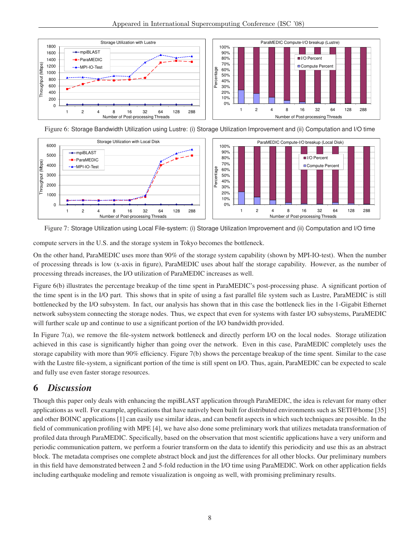

Figure 6: Storage Bandwidth Utilization using Lustre: (i) Storage Utilization Improvement and (ii) Computation and I/O time



Figure 7: Storage Utilization using Local File-system: (i) Storage Utilization Improvement and (ii) Computation and I/O time

compute servers in the U.S. and the storage system in Tokyo becomes the bottleneck.

On the other hand, ParaMEDIC uses more than 90% of the storage system capability (shown by MPI-IO-test). When the number of processing threads is low (x-axis in figure), ParaMEDIC uses about half the storage capability. However, as the number of processing threads increases, the I/O utilization of ParaMEDIC increases as well.

Figure 6(b) illustrates the percentage breakup of the time spent in ParaMEDIC's post-processing phase. A significant portion of the time spent is in the I/O part. This shows that in spite of using a fast parallel file system such as Lustre, ParaMEDIC is still bottlenecked by the I/O subsystem. In fact, our analysis has shown that in this case the bottleneck lies in the 1-Gigabit Ethernet network subsystem connecting the storage nodes. Thus, we expect that even for systems with faster I/O subsystems, ParaMEDIC will further scale up and continue to use a significant portion of the I/O bandwidth provided.

In Figure 7(a), we remove the file-system network bottleneck and directly perform I/O on the local nodes. Storage utilization achieved in this case is significantly higher than going over the network. Even in this case, ParaMEDIC completely uses the storage capability with more than 90% efficiency. Figure 7(b) shows the percentage breakup of the time spent. Similar to the case with the Lustre file-system, a significant portion of the time is still spent on I/O. Thus, again, ParaMEDIC can be expected to scale and fully use even faster storage resources.

### **6** *Discussion*

Though this paper only deals with enhancing the mpiBLAST application through ParaMEDIC, the idea is relevant for many other applications as well. For example, applications that have natively been built for distributed environments such as SETI@home [35] and other BOINC applications [1] can easily use similar ideas, and can benefit aspects in which such techniques are possible. In the field of communication profiling with MPE [4], we have also done some preliminary work that utilizes metadata transformation of profiled data through ParaMEDIC. Specifically, based on the observation that most scientific applications have a very uniform and periodic communication pattern, we perform a fourier transform on the data to identify this periodicity and use this as an abstract block. The metadata comprises one complete abstract block and just the differences for all other blocks. Our preliminary numbers in this field have demonstrated between 2 and 5-fold reduction in the I/O time using ParaMEDIC. Work on other application fields including earthquake modeling and remote visualization is ongoing as well, with promising preliminary results.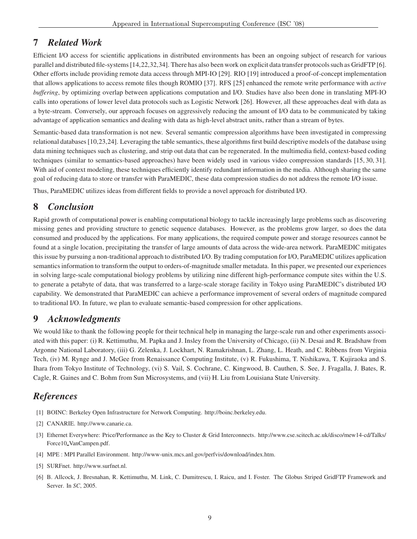### **7** *Related Work*

Efficient I/O access for scientific applications in distributed environments has been an ongoing subject of research for various parallel and distributed file-systems [14,22,32,34]. There has also been work on explicit data transfer protocols such as GridFTP [6]. Other efforts include providing remote data access through MPI-IO [29]. RIO [19] introduced a proof-of-concept implementation that allows applications to access remote files though ROMIO [37]. RFS [25] enhanced the remote write performance with *active buffering*, by optimizing overlap between applications computation and I/O. Studies have also been done in translating MPI-IO calls into operations of lower level data protocols such as Logistic Network [26]. However, all these approaches deal with data as a byte-stream. Conversely, our approach focuses on aggressively reducing the amount of I/O data to be communicated by taking advantage of application semantics and dealing with data as high-level abstract units, rather than a stream of bytes.

Semantic-based data transformation is not new. Several semantic compression algorithms have been investigated in compressing relational databases [10,23,24]. Leveraging the table semantics, these algorithms first build descriptive models of the database using data mining techniques such as clustering, and strip out data that can be regenerated. In the multimedia field, context-based coding techniques (similar to semantics-based approaches) have been widely used in various video compression standards [15, 30, 31]. With aid of context modeling, these techniques efficiently identify redundant information in the media. Although sharing the same goal of reducing data to store or transfer with ParaMEDIC, these data compression studies do not address the remote I/O issue.

Thus, ParaMEDIC utilizes ideas from different fields to provide a novel approach for distributed I/O.

### **8** *Conclusion*

Rapid growth of computational power is enabling computational biology to tackle increasingly large problems such as discovering missing genes and providing structure to genetic sequence databases. However, as the problems grow larger, so does the data consumed and produced by the applications. For many applications, the required compute power and storage resources cannot be found at a single location, precipitating the transfer of large amounts of data across the wide-area network. ParaMEDIC mitigates this issue by pursuing a non-traditional approach to distributed I/O. By trading computation for I/O, ParaMEDIC utilizes application semantics information to transform the output to orders-of-magnitude smaller metadata. In this paper, we presented our experiences in solving large-scale computational biology problems by utilizing nine different high-performance compute sites within the U.S. to generate a petabyte of data, that was transferred to a large-scale storage facility in Tokyo using ParaMEDIC's distributed I/O capability. We demonstrated that ParaMEDIC can achieve a performance improvement of several orders of magnitude compared to traditional I/O. In future, we plan to evaluate semantic-based compression for other applications.

### **9** *Acknowledgments*

We would like to thank the following people for their technical help in managing the large-scale run and other experiments associated with this paper: (i) R. Kettimuthu, M. Papka and J. Insley from the University of Chicago, (ii) N. Desai and R. Bradshaw from Argonne National Laboratory, (iii) G. Zelenka, J. Lockhart, N. Ramakrishnan, L. Zhang, L. Heath, and C. Ribbens from Virginia Tech, (iv) M. Rynge and J. McGee from Renaissance Computing Institute, (v) R. Fukushima, T. Nishikawa, T. Kujiraoka and S. Ihara from Tokyo Institute of Technology, (vi) S. Vail, S. Cochrane, C. Kingwood, B. Cauthen, S. See, J. Fragalla, J. Bates, R. Cagle, R. Gaines and C. Bohm from Sun Microsystems, and (vii) H. Liu from Louisiana State University.

### *References*

- [1] BOINC: Berkeley Open Infrastructure for Network Computing. http://boinc.berkeley.edu.
- [2] CANARIE. http://www.canarie.ca.
- [3] Ethernet Everywhere: Price/Performance as the Key to Cluster & Grid Interconnects. http://www.cse.scitech.ac.uk/disco/mew14-cd/Talks/ Force10 VanCampen.pdf.
- [4] MPE : MPI Parallel Environment. http://www-unix.mcs.anl.gov/perfvis/download/index.htm.
- [5] SURFnet. http://www.surfnet.nl.
- [6] B. Allcock, J. Bresnahan, R. Kettimuthu, M. Link, C. Dumitrescu, I. Raicu, and I. Foster. The Globus Striped GridFTP Framework and Server. In *SC*, 2005.